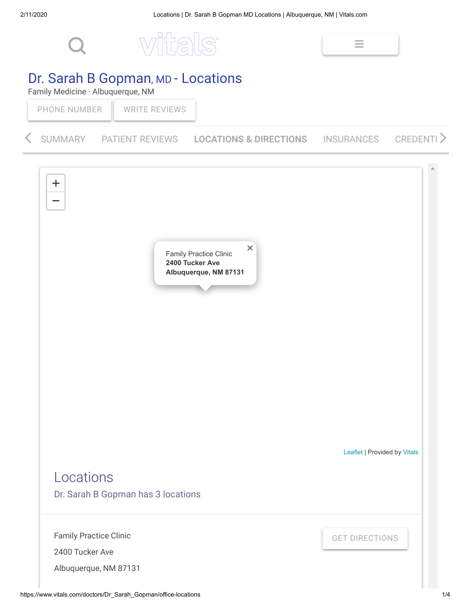

## Dr. Sarah B Gopman, MD - Locations

Family Medicine · Albuquerque, NM

PHONE [NUMBER](https://www.vitals.com/doctors/Dr_Sarah_Gopman/office-locations) | WRITE [REVIEWS](https://www.vitals.com/doctors/Dr_Sarah_Gopman/write-review)

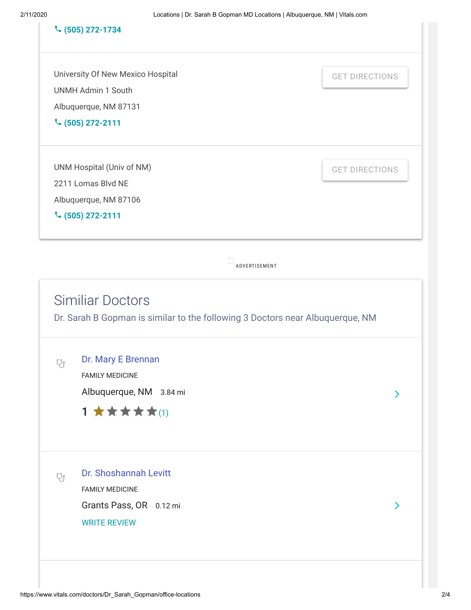